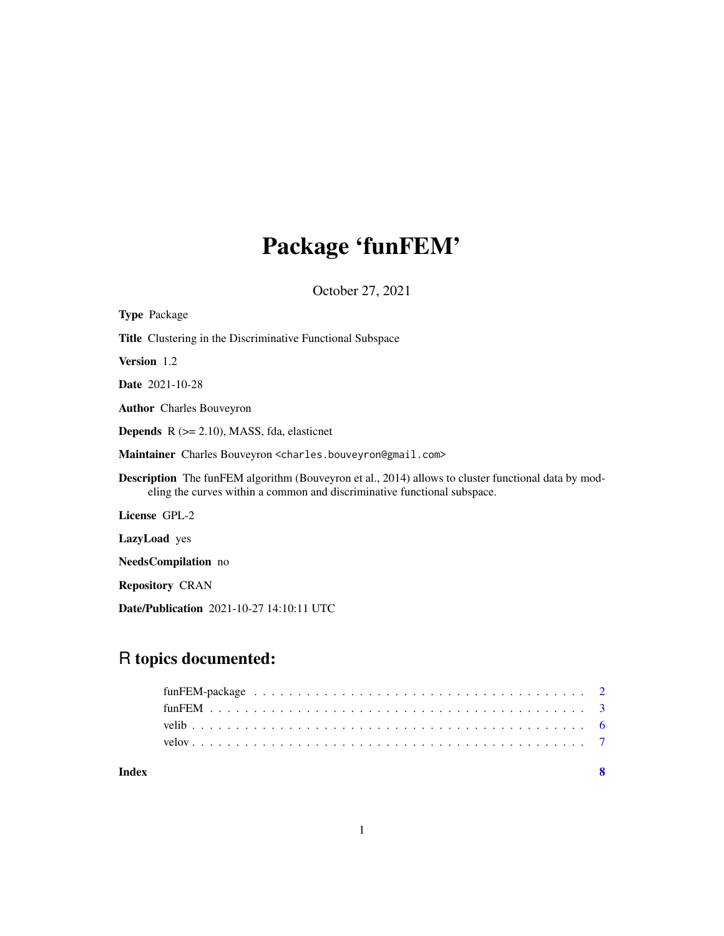# Package 'funFEM'

October 27, 2021

| <b>Type Package</b>                                                                                                                                                                    |
|----------------------------------------------------------------------------------------------------------------------------------------------------------------------------------------|
| <b>Title</b> Clustering in the Discriminative Functional Subspace                                                                                                                      |
| Version 1.2                                                                                                                                                                            |
| <b>Date</b> 2021-10-28                                                                                                                                                                 |
| <b>Author</b> Charles Bouveyron                                                                                                                                                        |
| <b>Depends</b> $R$ ( $>= 2.10$ ), MASS, fda, elasticnet                                                                                                                                |
| Maintainer Charles Bouveyron <charles.bouveyron@gmail.com></charles.bouveyron@gmail.com>                                                                                               |
| <b>Description</b> The funFEM algorithm (Bouveyron et al., 2014) allows to cluster functional data by mod-<br>eling the curves within a common and discriminative functional subspace. |
| License GPL-2                                                                                                                                                                          |
| <b>LazyLoad</b> yes                                                                                                                                                                    |
| <b>NeedsCompilation</b> no                                                                                                                                                             |
| <b>Repository CRAN</b>                                                                                                                                                                 |

Date/Publication 2021-10-27 14:10:11 UTC

# R topics documented:

| Index |  |
|-------|--|
|       |  |
|       |  |
|       |  |
|       |  |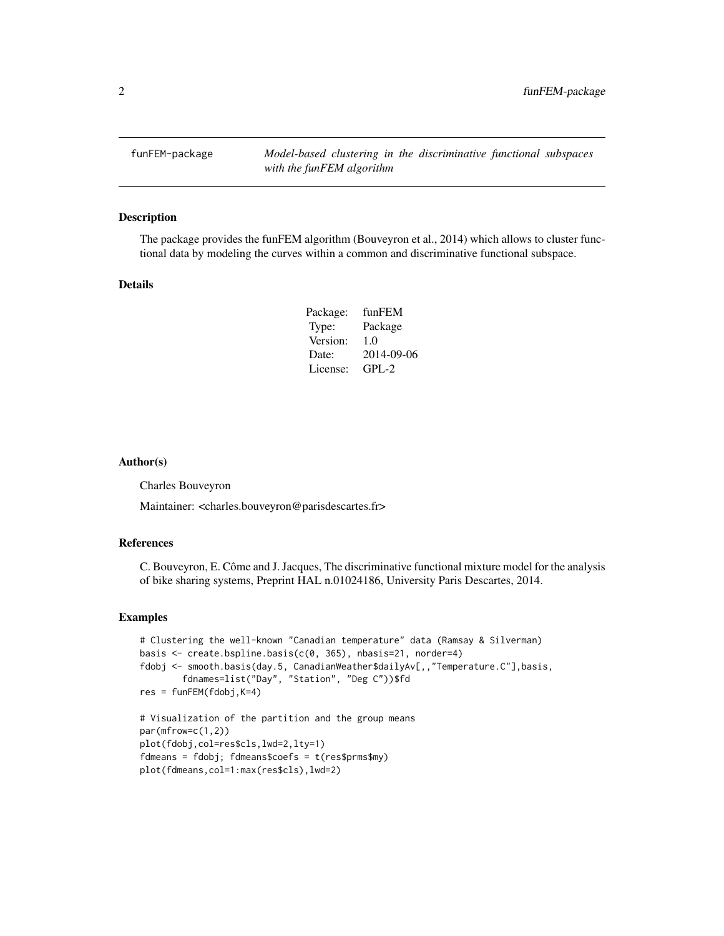<span id="page-1-0"></span>funFEM-package *Model-based clustering in the discriminative functional subspaces with the funFEM algorithm*

#### Description

The package provides the funFEM algorithm (Bouveyron et al., 2014) which allows to cluster functional data by modeling the curves within a common and discriminative functional subspace.

### Details

| funFEM     |
|------------|
| Package    |
| 1.0        |
| 2014-09-06 |
| $GPL-2$    |
|            |

## Author(s)

Charles Bouveyron

Maintainer: <charles.bouveyron@parisdescartes.fr>

#### References

C. Bouveyron, E. Côme and J. Jacques, The discriminative functional mixture model for the analysis of bike sharing systems, Preprint HAL n.01024186, University Paris Descartes, 2014.

# Examples

```
# Clustering the well-known "Canadian temperature" data (Ramsay & Silverman)
basis <- create.bspline.basis(c(0, 365), nbasis=21, norder=4)
fdobj <- smooth.basis(day.5, CanadianWeather$dailyAv[,,"Temperature.C"],basis,
        fdnames=list("Day", "Station", "Deg C"))$fd
res = funFEM(fdobj,K=4)# Visualization of the partition and the group means
par(mfrow=c(1,2))
plot(fdobj,col=res$cls,lwd=2,lty=1)
fdmeans = fdobj; fdmeans$coefs = t(res$prms$my)
plot(fdmeans,col=1:max(res$cls),lwd=2)
```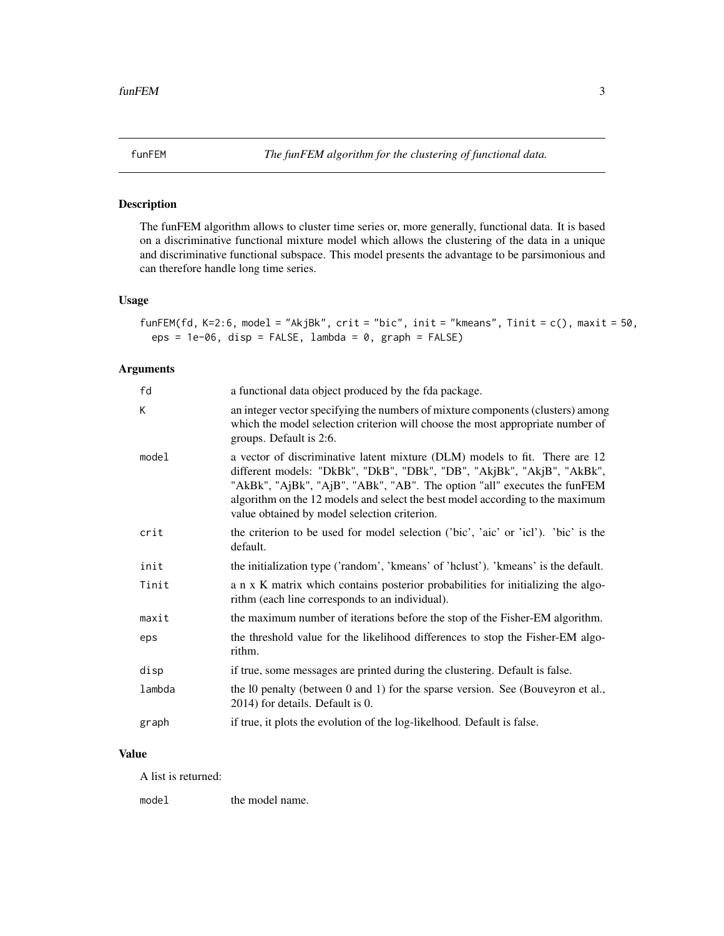<span id="page-2-0"></span>

# Description

The funFEM algorithm allows to cluster time series or, more generally, functional data. It is based on a discriminative functional mixture model which allows the clustering of the data in a unique and discriminative functional subspace. This model presents the advantage to be parsimonious and can therefore handle long time series.

# Usage

```
funFEM(fd, K=2:6, model = "AkjBk", crit = "bic", init = "kmeans", Tinit = c(), maxit = 50,
 eps = 1e-06, disp = FALSE, lambda = 0, graph = FALSE)
```
# Arguments

| fd     | a functional data object produced by the fda package.                                                                                                                                                                                                                                                                                                              |
|--------|--------------------------------------------------------------------------------------------------------------------------------------------------------------------------------------------------------------------------------------------------------------------------------------------------------------------------------------------------------------------|
| K      | an integer vector specifying the numbers of mixture components (clusters) among<br>which the model selection criterion will choose the most appropriate number of<br>groups. Default is 2:6.                                                                                                                                                                       |
| model  | a vector of discriminative latent mixture (DLM) models to fit. There are 12<br>different models: "DkBk", "DkB", "DBk", "DB", "AkjBk", "AkjB", "AkBk",<br>"AkBk", "AjBk", "AjB", "ABk", "AB". The option "all" executes the funFEM<br>algorithm on the 12 models and select the best model according to the maximum<br>value obtained by model selection criterion. |
| crit   | the criterion to be used for model selection ('bic', 'aic' or 'icl'). 'bic' is the<br>default.                                                                                                                                                                                                                                                                     |
| init   | the initialization type ('random', 'kmeans' of 'holust'). 'kmeans' is the default.                                                                                                                                                                                                                                                                                 |
| Tinit  | a n x K matrix which contains posterior probabilities for initializing the algo-<br>rithm (each line corresponds to an individual).                                                                                                                                                                                                                                |
| maxit  | the maximum number of iterations before the stop of the Fisher-EM algorithm.                                                                                                                                                                                                                                                                                       |
| eps    | the threshold value for the likelihood differences to stop the Fisher-EM algo-<br>rithm.                                                                                                                                                                                                                                                                           |
| disp   | if true, some messages are printed during the clustering. Default is false.                                                                                                                                                                                                                                                                                        |
| lambda | the 10 penalty (between 0 and 1) for the sparse version. See (Bouveyron et al.,<br>2014) for details. Default is 0.                                                                                                                                                                                                                                                |
| graph  | if true, it plots the evolution of the log-likelhood. Default is false.                                                                                                                                                                                                                                                                                            |

# Value

A list is returned:

model the model name.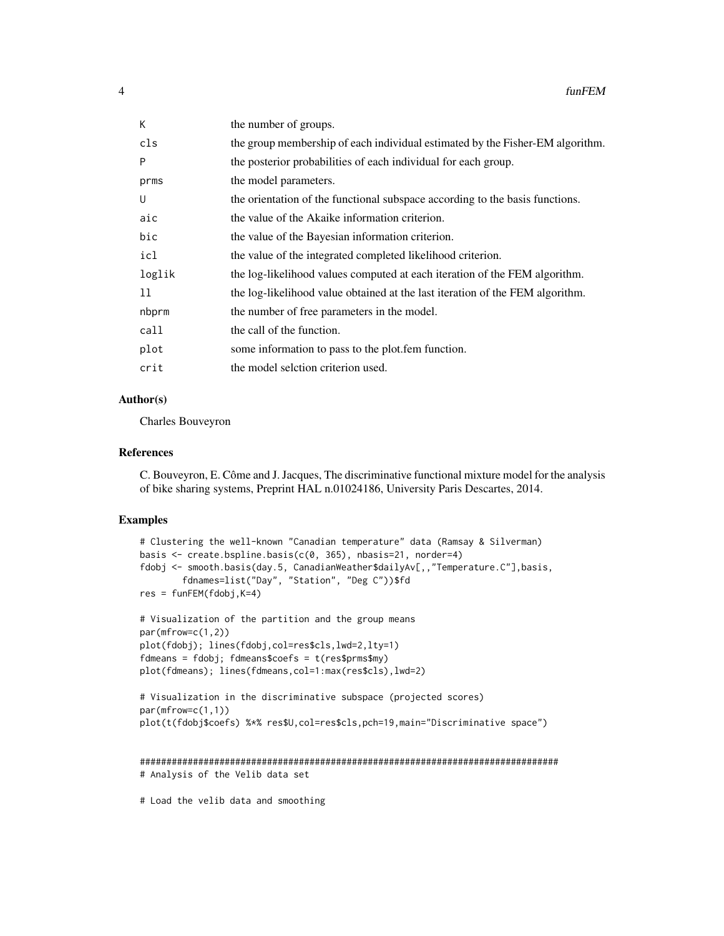| К      | the number of groups.                                                         |
|--------|-------------------------------------------------------------------------------|
| cls    | the group membership of each individual estimated by the Fisher-EM algorithm. |
| P      | the posterior probabilities of each individual for each group.                |
| prms   | the model parameters.                                                         |
| U      | the orientation of the functional subspace according to the basis functions.  |
| aic    | the value of the Akaike information criterion.                                |
| bic    | the value of the Bayesian information criterion.                              |
| icl    | the value of the integrated completed likelihood criterion.                   |
| loglik | the log-likelihood values computed at each iteration of the FEM algorithm.    |
| 11     | the log-likelihood value obtained at the last iteration of the FEM algorithm. |
| nbprm  | the number of free parameters in the model.                                   |
| call   | the call of the function.                                                     |
| plot   | some information to pass to the plot. fem function.                           |
| crit   | the model selction criterion used.                                            |
|        |                                                                               |

### Author(s)

Charles Bouveyron

#### References

C. Bouveyron, E. Côme and J. Jacques, The discriminative functional mixture model for the analysis of bike sharing systems, Preprint HAL n.01024186, University Paris Descartes, 2014.

## Examples

```
# Clustering the well-known "Canadian temperature" data (Ramsay & Silverman)
basis <- create.bspline.basis(c(0, 365), nbasis=21, norder=4)
fdobj <- smooth.basis(day.5, CanadianWeather$dailyAv[,,"Temperature.C"],basis,
        fdnames=list("Day", "Station", "Deg C"))$fd
res = funFEM(fdobj,K=4)
# Visualization of the partition and the group means
```

```
par(mfrow=c(1,2))
plot(fdobj); lines(fdobj,col=res$cls,lwd=2,lty=1)
fdmeans = fdobj; fdmeans$coefs = t(res$prms$my)
plot(fdmeans); lines(fdmeans,col=1:max(res$cls),lwd=2)
```

```
# Visualization in the discriminative subspace (projected scores)
par(mfrow=c(1,1))
plot(t(fdobj$coefs) %*% res$U,col=res$cls,pch=19,main="Discriminative space")
```

```
###############################################################################
# Analysis of the Velib data set
```
# Load the velib data and smoothing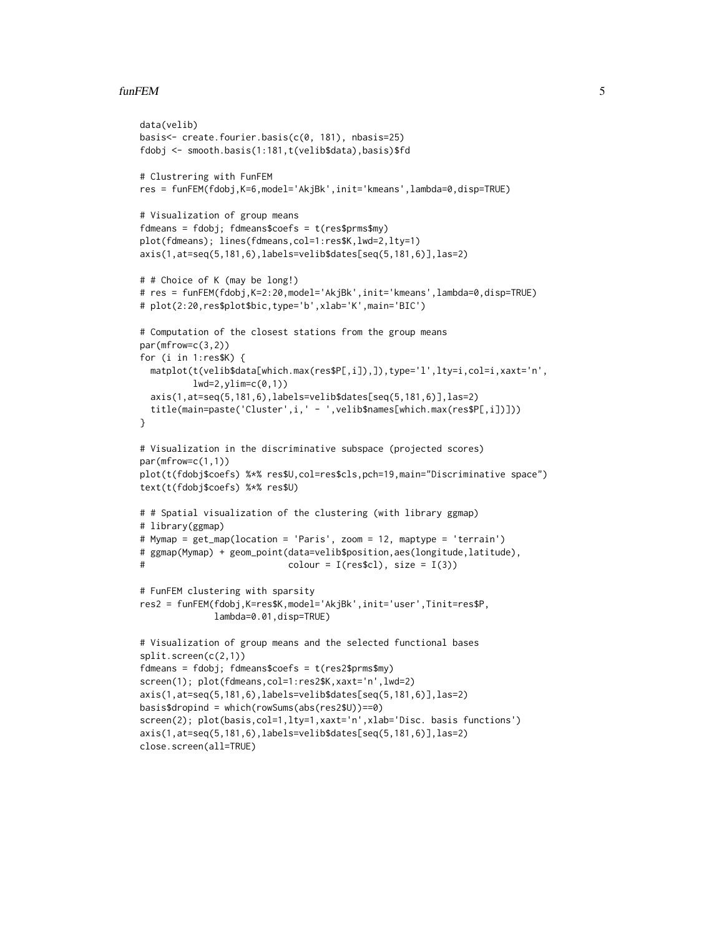#### funFEM 5

```
data(velib)
basis<- create.fourier.basis(c(0, 181), nbasis=25)
fdobj <- smooth.basis(1:181,t(velib$data),basis)$fd
# Clustrering with FunFEM
res = funFEM(fdobj,K=6,model='AkjBk',init='kmeans',lambda=0,disp=TRUE)
# Visualization of group means
fdmeans = fdobj; fdmeans$coefs = t(res$prms$my)
plot(fdmeans); lines(fdmeans,col=1:res$K,lwd=2,lty=1)
axis(1,at=seq(5,181,6),labels=velib$dates[seq(5,181,6)],las=2)
# # Choice of K (may be long!)
# res = funFEM(fdobj,K=2:20,model='AkjBk',init='kmeans',lambda=0,disp=TRUE)
# plot(2:20,res$plot$bic,type='b',xlab='K',main='BIC')
# Computation of the closest stations from the group means
par(mfrow=c(3,2))
for (i in 1:res$K) {
 matplot(t(velib$data[which.max(res$P[,i]),]),type='l',lty=i,col=i,xaxt='n',
          lwd=2, ylim=c(0,1)axis(1,at=seq(5,181,6),labels=velib$dates[seq(5,181,6)],las=2)
 title(main=paste('Cluster',i,' - ',velib$names[which.max(res$P[,i])]))
}
# Visualization in the discriminative subspace (projected scores)
par(mfrow=c(1,1))
plot(t(fdobj$coefs) %*% res$U,col=res$cls,pch=19,main="Discriminative space")
text(t(fdobj$coefs) %*% res$U)
# # Spatial visualization of the clustering (with library ggmap)
# library(ggmap)
# Mymap = get_map(location = 'Paris', zoom = 12, maptype = 'terrain')
# ggmap(Mymap) + geom_point(data=velib$position,aes(longitude,latitude),
                            colour = I(resSet), size = I(3)# FunFEM clustering with sparsity
res2 = funFEM(fdobj,K=res$K,model='AkjBk',init='user',Tinit=res$P,
              lambda=0.01,disp=TRUE)
# Visualization of group means and the selected functional bases
split.screen(c(2,1))
fdmeans = fdobj; fdmeans$coefs = t(res2$prms$my)
screen(1); plot(fdmeans,col=1:res2$K,xaxt='n',lwd=2)
axis(1,at=seq(5,181,6),labels=velib$dates[seq(5,181,6)],las=2)
basis$dropind = which(rowSums(abs(res2$U))==0)
screen(2); plot(basis,col=1,lty=1,xaxt='n',xlab='Disc. basis functions')
axis(1,at=seq(5,181,6),labels=velib$dates[seq(5,181,6)],las=2)
close.screen(all=TRUE)
```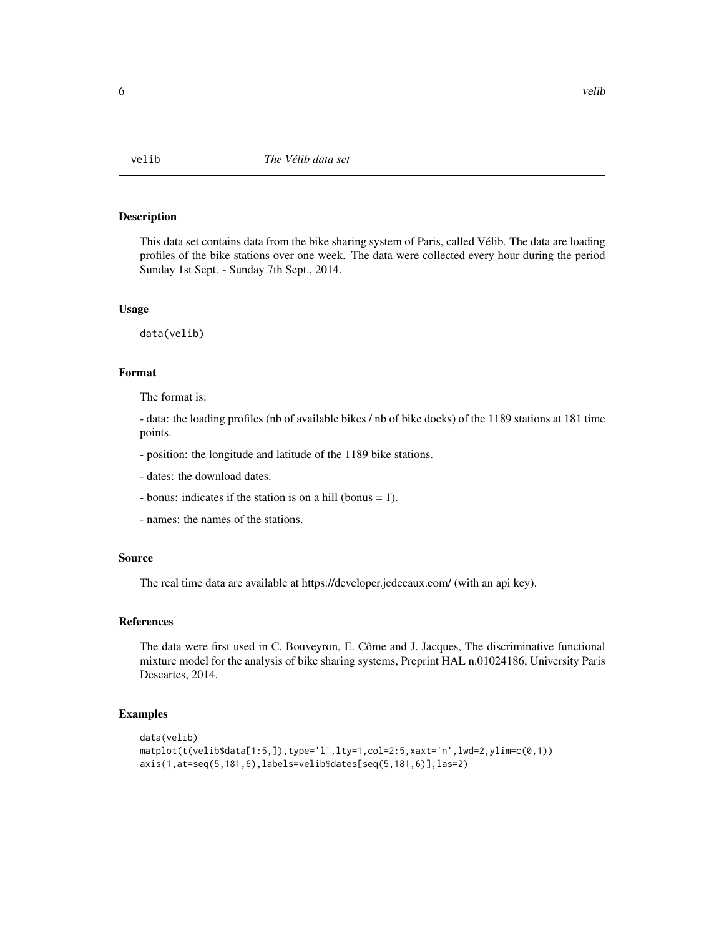<span id="page-5-0"></span>

# Description

This data set contains data from the bike sharing system of Paris, called Vélib. The data are loading profiles of the bike stations over one week. The data were collected every hour during the period Sunday 1st Sept. - Sunday 7th Sept., 2014.

#### Usage

data(velib)

# Format

The format is:

- data: the loading profiles (nb of available bikes / nb of bike docks) of the 1189 stations at 181 time points.

- position: the longitude and latitude of the 1189 bike stations.

- dates: the download dates.
- bonus: indicates if the station is on a hill (bonus = 1).
- names: the names of the stations.

#### Source

The real time data are available at https://developer.jcdecaux.com/ (with an api key).

#### References

The data were first used in C. Bouveyron, E. Côme and J. Jacques, The discriminative functional mixture model for the analysis of bike sharing systems, Preprint HAL n.01024186, University Paris Descartes, 2014.

#### Examples

```
data(velib)
maplot(t(velib$data[1:5,]),type='l',lty=1,col=2:5,xaxt='n',lwd=2,ylim=c(0,1))axis(1,at=seq(5,181,6),labels=velib$dates[seq(5,181,6)],las=2)
```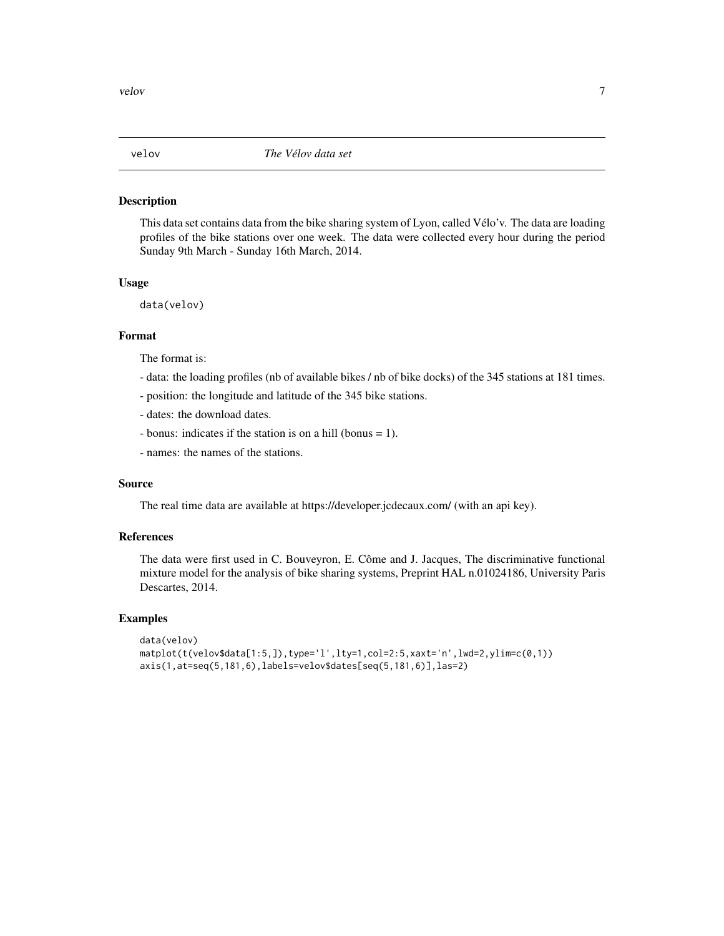<span id="page-6-0"></span>

# Description

This data set contains data from the bike sharing system of Lyon, called Vélo'v. The data are loading profiles of the bike stations over one week. The data were collected every hour during the period Sunday 9th March - Sunday 16th March, 2014.

#### Usage

data(velov)

#### Format

The format is:

- data: the loading profiles (nb of available bikes / nb of bike docks) of the 345 stations at 181 times.
- position: the longitude and latitude of the 345 bike stations.
- dates: the download dates.
- bonus: indicates if the station is on a hill (bonus = 1).
- names: the names of the stations.

#### Source

The real time data are available at https://developer.jcdecaux.com/ (with an api key).

#### References

The data were first used in C. Bouveyron, E. Côme and J. Jacques, The discriminative functional mixture model for the analysis of bike sharing systems, Preprint HAL n.01024186, University Paris Descartes, 2014.

# Examples

```
data(velov)
matplot(t(velov$data[1:5,]),type='l',lty=1,col=2:5,xaxt='n',lwd=2,ylim=c(0,1))
axis(1,at=seq(5,181,6),labels=velov$dates[seq(5,181,6)],las=2)
```